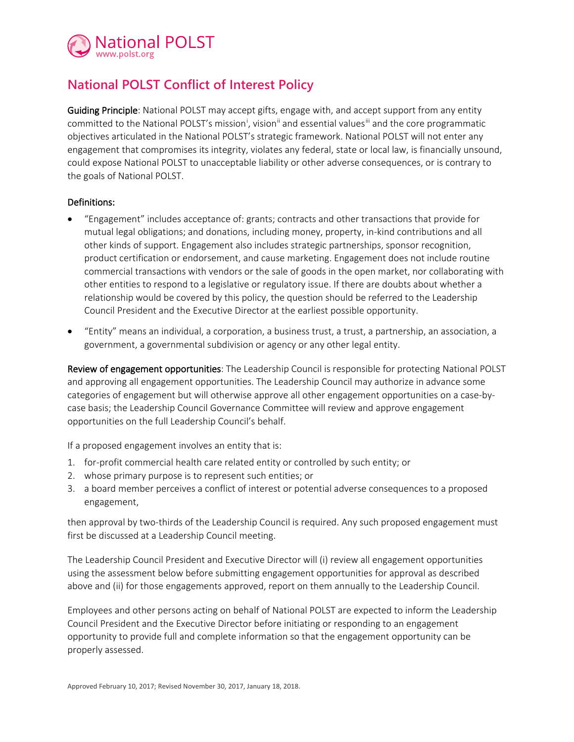

## **National POLST Conflict of Interest Policy**

Guiding Principle: National POLST may accept gifts, engage with, and accept support from any entity comm[i](#page-1-0)tted to the National POLST's mission<sup>i</sup>, vision<sup>[ii](#page-1-1)</sup> and essential values<sup>[iii](#page-1-2)</sup> and the core programmatic objectives articulated in the National POLST's strategic framework. National POLST will not enter any engagement that compromises its integrity, violates any federal, state or local law, is financially unsound, could expose National POLST to unacceptable liability or other adverse consequences, or is contrary to the goals of National POLST.

## Definitions:

- "Engagement" includes acceptance of: grants; contracts and other transactions that provide for mutual legal obligations; and donations, including money, property, in-kind contributions and all other kinds of support. Engagement also includes strategic partnerships, sponsor recognition, product certification or endorsement, and cause marketing. Engagement does not include routine commercial transactions with vendors or the sale of goods in the open market, nor collaborating with other entities to respond to a legislative or regulatory issue. If there are doubts about whether a relationship would be covered by this policy, the question should be referred to the Leadership Council President and the Executive Director at the earliest possible opportunity.
- "Entity" means an individual, a corporation, a business trust, a trust, a partnership, an association, a government, a governmental subdivision or agency or any other legal entity.

Review of engagement opportunities: The Leadership Council is responsible for protecting National POLST and approving all engagement opportunities. The Leadership Council may authorize in advance some categories of engagement but will otherwise approve all other engagement opportunities on a case-bycase basis; the Leadership Council Governance Committee will review and approve engagement opportunities on the full Leadership Council's behalf.

If a proposed engagement involves an entity that is:

- 1. for-profit commercial health care related entity or controlled by such entity; or
- 2. whose primary purpose is to represent such entities; or
- 3. a board member perceives a conflict of interest or potential adverse consequences to a proposed engagement,

then approval by two-thirds of the Leadership Council is required. Any such proposed engagement must first be discussed at a Leadership Council meeting.

The Leadership Council President and Executive Director will (i) review all engagement opportunities using the assessment below before submitting engagement opportunities for approval as described above and (ii) for those engagements approved, report on them annually to the Leadership Council.

Employees and other persons acting on behalf of National POLST are expected to inform the Leadership Council President and the Executive Director before initiating or responding to an engagement opportunity to provide full and complete information so that the engagement opportunity can be properly assessed.